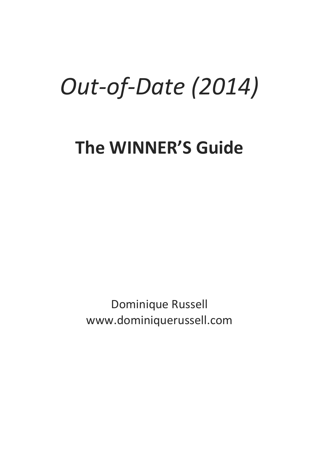# *Out-of-Date (2014)*

# **The WINNER'S Guide**

Dominique Russell www.dominiquerussell.com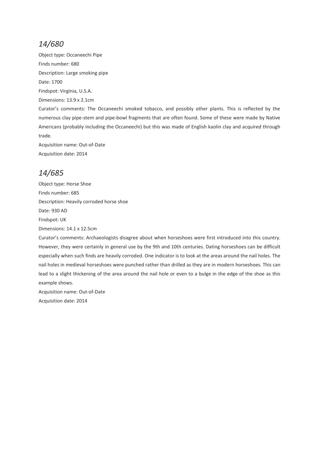Object type: Occaneechi Pipe Finds number: 680 Description: Large smoking pipe Date: 1700 Findspot: Virginia, U.S.A. Dimensions: 13.9 x 2.1cm Curator's comments: The Occaneechi smoked tobacco, and possibly other plants. This is reflected by the numerous clay pipe-stem and pipe-bowl fragments that are often found. Some of these were made by Native Americans (probably including the Occaneechi) but this was made of English kaolin clay and acquired through trade. Acquisition name: Out-of-Date Acquisition date: 2014

# *14/685*

Object type: Horse Shoe Finds number: 685 Description: Heavily corroded horse shoe Date: 930 AD Findspot: UK Dimensions: 14.1 x 12.5cm

Curator's comments: Archaeologists disagree about when horseshoes were first introduced into this country. However, they were certainly in general use by the 9th and 10th centuries. Dating horseshoes can be difficult especially when such finds are heavily corroded. One indicator is to look at the areas around the nail holes. The nail holes in medieval horseshoes were punched rather than drilled as they are in modern horseshoes. This can lead to a slight thickening of the area around the nail hole or even to a bulge in the edge of the shoe as this example shows.

Acquisition name: Out-of-Date Acquisition date: 2014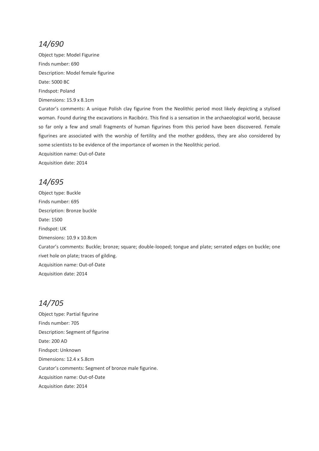Object type: Model Figurine Finds number: 690 Description: Model female figurine Date: 5000 BC Findspot: Poland Dimensions: 15.9 x 8.1cm

Curator's comments: A unique Polish clay figurine from the Neolithic period most likely depicting a stylised woman. Found during the excavations in Racibórz. This find is a sensation in the archaeological world, because so far only a few and small fragments of human figurines from this period have been discovered. Female figurines are associated with the worship of fertility and the mother goddess, they are also considered by some scientists to be evidence of the importance of women in the Neolithic period.

Acquisition name: Out-of-Date Acquisition date: 2014

# *14/695*

Object type: Buckle Finds number: 695 Description: Bronze buckle Date: 1500 Findspot: UK Dimensions: 10.9 x 10.8cm Curator's comments: Buckle; bronze; square; double-looped; tongue and plate; serrated edges on buckle; one rivet hole on plate; traces of gilding. Acquisition name: Out-of-Date Acquisition date: 2014

# *14/705*

Object type: Partial figurine Finds number: 705 Description: Segment of figurine Date: 200 AD Findspot: Unknown Dimensions: 12.4 x 5.8cm Curator's comments: Segment of bronze male figurine. Acquisition name: Out-of-Date Acquisition date: 2014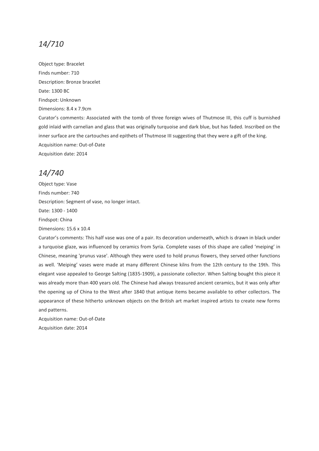Object type: Bracelet Finds number: 710 Description: Bronze bracelet Date: 1300 BC Findspot: Unknown Dimensions: 8.4 x 7.9cm

Curator's comments: Associated with the tomb of three foreign wives of Thutmose III, this cuff is burnished gold inlaid with carnelian and glass that was originally turquoise and dark blue, but has faded. Inscribed on the inner surface are the cartouches and epithets of Thutmose III suggesting that they were a gift of the king. Acquisition name: Out-of-Date Acquisition date: 2014

#### *14/740*

Object type: Vase Finds number: 740 Description: Segment of vase, no longer intact. Date: 1300 - 1400 Findspot: China Dimensions: 15.6 x 10.4

Curator's comments: This half vase was one of a pair. Its decoration underneath, which is drawn in black under a turquoise glaze, was influenced by ceramics from Syria. Complete vases of this shape are called 'meiping' in Chinese, meaning 'prunus vase'. Although they were used to hold prunus flowers, they served other functions as well. 'Meiping' vases were made at many different Chinese kilns from the 12th century to the 19th. This elegant vase appealed to George Salting (1835-1909), a passionate collector. When Salting bought this piece it was already more than 400 years old. The Chinese had always treasured ancient ceramics, but it was only after the opening up of China to the West after 1840 that antique items became available to other collectors. The appearance of these hitherto unknown objects on the British art market inspired artists to create new forms and patterns.

Acquisition name: Out-of-Date Acquisition date: 2014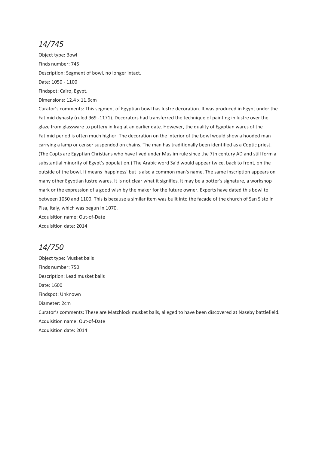Object type: Bowl Finds number: 745 Description: Segment of bowl, no longer intact. Date: 1050 - 1100 Findspot: Cairo, Egypt. Dimensions: 12.4 x 11.6cm

Curator's comments: This segment of Egyptian bowl has lustre decoration. It was produced in Egypt under the Fatimid dynasty (ruled 969 -1171). Decorators had transferred the technique of painting in lustre over the glaze from glassware to pottery in Iraq at an earlier date. However, the quality of Egyptian wares of the Fatimid period is often much higher. The decoration on the interior of the bowl would show a hooded man carrying a lamp or censer suspended on chains. The man has traditionally been identified as a Coptic priest. (The Copts are Egyptian Christians who have lived under Muslim rule since the 7th century AD and still form a substantial minority of Egypt's population.) The Arabic word Sa'd would appear twice, back to front, on the outside of the bowl. It means 'happiness' but is also a common man's name. The same inscription appears on many other Egyptian lustre wares. It is not clear what it signifies. It may be a potter's signature, a workshop mark or the expression of a good wish by the maker for the future owner. Experts have dated this bowl to between 1050 and 1100. This is because a similar item was built into the facade of the church of San Sisto in Pisa, Italy, which was begun in 1070.

Acquisition name: Out-of-Date Acquisition date: 2014

# *14/750*

Object type: Musket balls Finds number: 750 Description: Lead musket balls Date: 1600 Findspot: Unknown Diameter: 2cm Curator's comments: These are Matchlock musket balls, alleged to have been discovered at Naseby battlefield. Acquisition name: Out-of-Date Acquisition date: 2014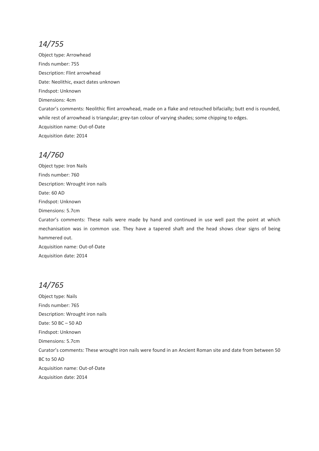Object type: Arrowhead Finds number: 755 Description: Flint arrowhead Date: Neolithic, exact dates unknown Findspot: Unknown Dimensions: 4cm Curator's comments: Neolithic flint arrowhead, made on a flake and retouched bifacially; butt end is rounded, while rest of arrowhead is triangular; grey-tan colour of varying shades; some chipping to edges. Acquisition name: Out-of-Date Acquisition date: 2014

#### *14/760*

Object type: Iron Nails Finds number: 760 Description: Wrought iron nails Date: 60 AD Findspot: Unknown Dimensions: 5.7cm Curator's comments: These nails were made by hand and continued in use well past the point at which mechanisation was in common use. They have a tapered shaft and the head shows clear signs of being hammered out. Acquisition name: Out-of-Date Acquisition date: 2014

# *14/765*

Object type: Nails Finds number: 765 Description: Wrought iron nails Date: 50 BC – 50 AD Findspot: Unknown Dimensions: 5.7cm Curator's comments: These wrought iron nails were found in an Ancient Roman site and date from between 50 BC to 50 AD Acquisition name: Out-of-Date Acquisition date: 2014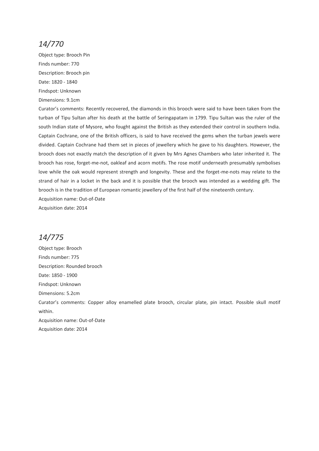Object type: Brooch Pin Finds number: 770 Description: Brooch pin Date: 1820 - 1840 Findspot: Unknown Dimensions: 9.1cm

Curator's comments: Recently recovered, the diamonds in this brooch were said to have been taken from the turban of Tipu Sultan after his death at the battle of Seringapatam in 1799. Tipu Sultan was the ruler of the south Indian state of Mysore, who fought against the British as they extended their control in southern India. Captain Cochrane, one of the British officers, is said to have received the gems when the turban jewels were divided. Captain Cochrane had them set in pieces of jewellery which he gave to his daughters. However, the brooch does not exactly match the description of it given by Mrs Agnes Chambers who later inherited it. The brooch has rose, forget-me-not, oakleaf and acorn motifs. The rose motif underneath presumably symbolises love while the oak would represent strength and longevity. These and the forget-me-nots may relate to the strand of hair in a locket in the back and it is possible that the brooch was intended as a wedding gift. The brooch is in the tradition of European romantic jewellery of the first half of the nineteenth century.

Acquisition name: Out-of-Date

Acquisition date: 2014

# *14/775*

Object type: Brooch Finds number: 775 Description: Rounded brooch Date: 1850 - 1900 Findspot: Unknown Dimensions: 5.2cm Curator's comments: Copper alloy enamelled plate brooch, circular plate, pin intact. Possible skull motif within. Acquisition name: Out-of-Date Acquisition date: 2014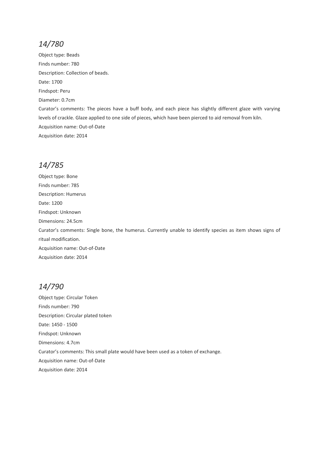Object type: Beads Finds number: 780 Description: Collection of beads. Date: 1700 Findspot: Peru Diameter: 0.7cm Curator's comments: The pieces have a buff body, and each piece has slightly different glaze with varying levels of crackle. Glaze applied to one side of pieces, which have been pierced to aid removal from kiln. Acquisition name: Out-of-Date Acquisition date: 2014

# *14/785*

Object type: Bone Finds number: 785 Description: Humerus Date: 1200 Findspot: Unknown Dimensions: 24.5cm Curator's comments: Single bone, the humerus. Currently unable to identify species as item shows signs of ritual modification. Acquisition name: Out-of-Date Acquisition date: 2014

#### *14/790*

Object type: Circular Token Finds number: 790 Description: Circular plated token Date: 1450 - 1500 Findspot: Unknown Dimensions: 4.7cm Curator's comments: This small plate would have been used as a token of exchange. Acquisition name: Out-of-Date Acquisition date: 2014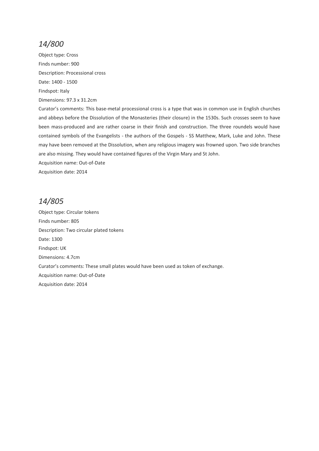Object type: Cross Finds number: 900 Description: Processional cross Date: 1400 - 1500 Findspot: Italy Dimensions: 97.3 x 31.2cm

Curator's comments: This base-metal processional cross is a type that was in common use in English churches and abbeys before the Dissolution of the Monasteries (their closure) in the 1530s. Such crosses seem to have been mass-produced and are rather coarse in their finish and construction. The three roundels would have contained symbols of the Evangelists - the authors of the Gospels - SS Matthew, Mark, Luke and John. These may have been removed at the Dissolution, when any religious imagery was frowned upon. Two side branches are also missing. They would have contained figures of the Virgin Mary and St John.

Acquisition name: Out-of-Date

Acquisition date: 2014

#### *14/805*

Object type: Circular tokens Finds number: 805 Description: Two circular plated tokens Date: 1300 Findspot: UK Dimensions: 4.7cm Curator's comments: These small plates would have been used as token of exchange. Acquisition name: Out-of-Date Acquisition date: 2014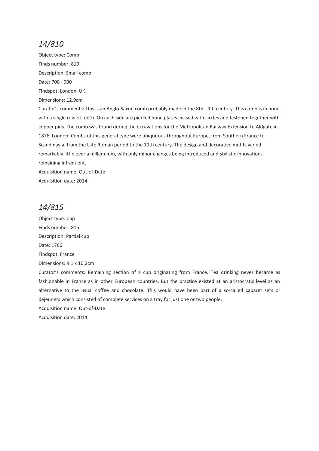Object type: Comb Finds number: 810 Description: Small comb Date: 700 - 900 Findspot: London, UK. Dimensions: 12.9cm

Curator's comments: This is an Anglo-Saxon comb probably made in the 8th - 9th century. This comb is in bone with a single row of teeth. On each side are pierced bone plates incised with circles and fastened together with copper pins. The comb was found during the excavations for the Metropolitan Railway Extension to Aldgate in 1876, London. Combs of this general type were ubiquitous throughout Europe, from Southern France to Scandinavia, from the Late Roman period to the 19th century. The design and decorative motifs varied remarkably little over a millennium, with only minor changes being introduced and stylistic innovations remaining infrequent.

Acquisition name: Out-of-Date Acquisition date: 2014

### *14/815*

Object type: Cup Finds number: 815 Description: Partial cup Date: 1766 Findspot: France Dimensions: 9.1 x 10.2cm

Curator's comments: Remaining section of a cup originating from France. Tea drinking never became as fashionable in France as in other European countries. But the practice existed at an aristocratic level as an alternative to the usual coffee and chocolate. This would have been part of a so-called cabaret sets or déjeuners which consisted of complete services on a tray for just one or two people.

Acquisition name: Out-of-Date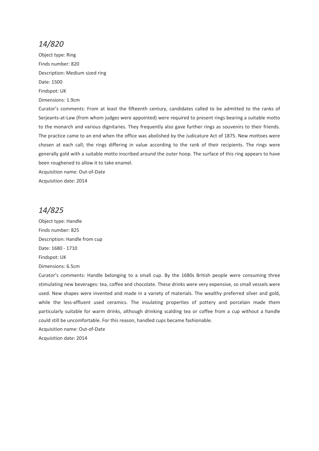Object type: Ring Finds number: 820 Description: Medium sized ring Date: 1500 Findspot: UK Dimensions: 1.9cm

Curator's comments: From at least the fifteenth century, candidates called to be admitted to the ranks of Serjeants-at-Law (from whom judges were appointed) were required to present rings bearing a suitable motto to the monarch and various dignitaries. They frequently also gave further rings as souvenirs to their friends. The practice came to an end when the office was abolished by the Judicature Act of 1875. New mottoes were chosen at each call; the rings differing in value according to the rank of their recipients. The rings were generally gold with a suitable motto inscribed around the outer hoop. The surface of this ring appears to have been roughened to allow it to take enamel.

Acquisition name: Out-of-Date

Acquisition date: 2014

#### *14/825*

Object type: Handle Finds number: 825 Description: Handle from cup Date: 1680 - 1710 Findspot: UK Dimensions: 6.5cm

Curator's comments: Handle belonging to a small cup. By the 1680s British people were consuming three stimulating new beverages: tea, coffee and chocolate. These drinks were very expensive, so small vessels were used. New shapes were invented and made in a variety of materials. The wealthy preferred silver and gold, while the less-affluent used ceramics. The insulating properties of pottery and porcelain made them particularly suitable for warm drinks, although drinking scalding tea or coffee from a cup without a handle could still be uncomfortable. For this reason, handled cups became fashionable.

Acquisition name: Out-of-Date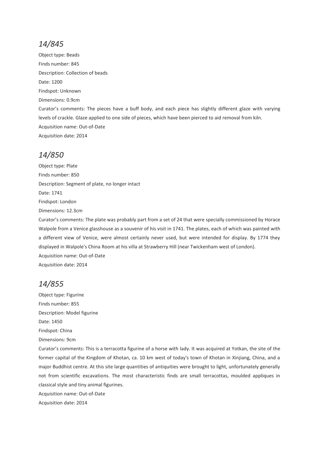Object type: Beads Finds number: 845 Description: Collection of beads Date: 1200 Findspot: Unknown Dimensions: 0.9cm Curator's comments: The pieces have a buff body, and each piece has slightly different glaze with varying levels of crackle. Glaze applied to one side of pieces, which have been pierced to aid removal from kiln. Acquisition name: Out-of-Date Acquisition date: 2014

#### *14/850*

Object type: Plate Finds number: 850 Description: Segment of plate, no longer intact Date: 1741 Findspot: London Dimensions: 12.3cm Curator's comments: The plate was probably part from a set of 24 that were specially commissioned by Horace

Walpole from a Venice glasshouse as a souvenir of his visit in 1741. The plates, each of which was painted with a different view of Venice, were almost certainly never used, but were intended for display. By 1774 they displayed in Walpole's China Room at his villa at Strawberry Hill (near Twickenham west of London). Acquisition name: Out-of-Date Acquisition date: 2014

# *14/855*

Object type: Figurine Finds number: 855 Description: Model figurine Date: 1450 Findspot: China Dimensions: 9cm

Curator's comments: This is a terracotta figurine of a horse with lady. It was acquired at Yotkan, the site of the former capital of the Kingdom of Khotan, ca. 10 km west of today's town of Khotan in Xinjiang, China, and a major Buddhist centre. At this site large quantities of antiquities were brought to light, unfortunately generally not from scientific excavations. The most characteristic finds are small terracottas, moulded appliques in classical style and tiny animal figurines.

Acquisition name: Out-of-Date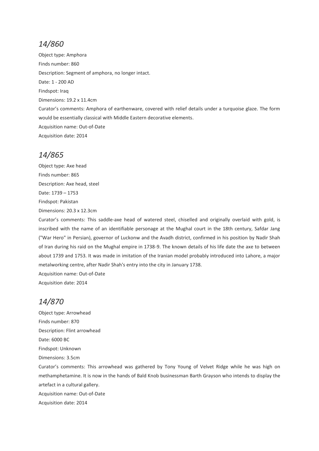Object type: Amphora Finds number: 860 Description: Segment of amphora, no longer intact. Date: 1 - 200 AD Findspot: Iraq Dimensions: 19.2 x 11.4cm Curator's comments: Amphora of earthenware, covered with relief details under a turquoise glaze. The form would be essentially classical with Middle Eastern decorative elements. Acquisition name: Out-of-Date Acquisition date: 2014

#### *14/865*

Object type: Axe head Finds number: 865 Description: Axe head, steel Date: 1739 – 1753 Findspot: Pakistan Dimensions: 20.3 x 12.3cm

Curator's comments: This saddle-axe head of watered steel, chiselled and originally overlaid with gold, is inscribed with the name of an identifiable personage at the Mughal court in the 18th century, Safdar Jang ("War Hero" in Persian), governor of Luckonw and the Avadh district, confirmed in his position by Nadir Shah of Iran during his raid on the Mughal empire in 1738-9. The known details of his life date the axe to between about 1739 and 1753. It was made in imitation of the Iranian model probably introduced into Lahore, a major metalworking centre, after Nadir Shah's entry into the city in January 1738. Acquisition name: Out-of-Date

Acquisition date: 2014

# *14/870*

Object type: Arrowhead Finds number: 870 Description: Flint arrowhead Date: 6000 BC Findspot: Unknown Dimensions: 3.5cm Curator's comments: This arrowhead was gathered by Tony Young of Velvet Ridge while he was high on methamphetamine. It is now in the hands of Bald Knob businessman Barth Grayson who intends to display the artefact in a cultural gallery. Acquisition name: Out-of-Date Acquisition date: 2014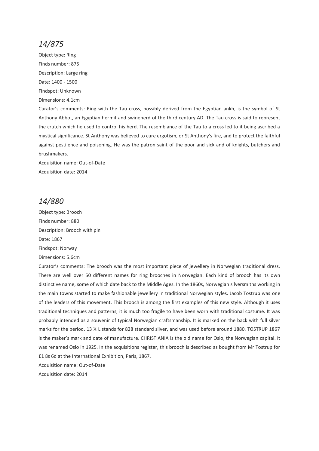Object type: Ring Finds number: 875 Description: Large ring Date: 1400 - 1500 Findspot: Unknown Dimensions: 4.1cm

Curator's comments: Ring with the Tau cross, possibly derived from the Egyptian ankh, is the symbol of St Anthony Abbot, an Egyptian hermit and swineherd of the third century AD. The Tau cross is said to represent the crutch which he used to control his herd. The resemblance of the Tau to a cross led to it being ascribed a mystical significance. St Anthony was believed to cure ergotism, or St Anthony's fire, and to protect the faithful against pestilence and poisoning. He was the patron saint of the poor and sick and of knights, butchers and brushmakers.

Acquisition name: Out-of-Date Acquisition date: 2014

#### *14/880*

Object type: Brooch Finds number: 880 Description: Brooch with pin Date: 1867 Findspot: Norway Dimensions: 5.6cm

Curator's comments: The brooch was the most important piece of jewellery in Norwegian traditional dress. There are well over 50 different names for ring brooches in Norwegian. Each kind of brooch has its own distinctive name, some of which date back to the Middle Ages. In the 1860s, Norwegian silversmiths working in the main towns started to make fashionable jewellery in traditional Norwegian styles. Jacob Tostrup was one of the leaders of this movement. This brooch is among the first examples of this new style. Although it uses traditional techniques and patterns, it is much too fragile to have been worn with traditional costume. It was probably intended as a souvenir of typical Norwegian craftsmanship. It is marked on the back with full silver marks for the period. 13 ¼ L stands for 828 standard silver, and was used before around 1880. TOSTRUP 1867 is the maker's mark and date of manufacture. CHRISTIANIA is the old name for Oslo, the Norwegian capital. It was renamed Oslo in 1925. In the acquisitions register, this brooch is described as bought from Mr Tostrup for £1 8s 6d at the International Exhibition, Paris, 1867.

Acquisition name: Out-of-Date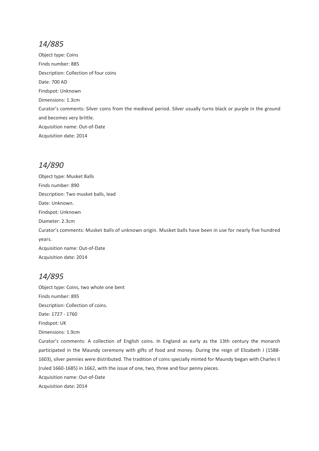Object type: Coins Finds number: 885 Description: Collection of four coins Date: 700 AD Findspot: Unknown Dimensions: 1.3cm Curator's comments: Silver coins from the medieval period. Silver usually turns black or purple in the ground and becomes very brittle. Acquisition name: Out-of-Date Acquisition date: 2014

# *14/890*

Object type: Musket Balls Finds number: 890 Description: Two musket balls, lead Date: Unknown. Findspot: Unknown Diameter: 2.3cm Curator's comments: Musket balls of unknown origin. Musket balls have been in use for nearly five hundred years. Acquisition name: Out-of-Date Acquisition date: 2014

# *14/895*

Object type: Coins, two whole one bent Finds number: 895 Description: Collection of coins. Date: 1727 - 1760 Findspot: UK Dimensions: 1.9cm Curator's comments: A collection of English coins. In England as early as the 13th century the monarch participated in the Maundy ceremony with gifts of food and money. During the reign of Elizabeth I (1588- 1603), silver pennies were distributed. The tradition of coins specially minted for Maundy began with Charles II (ruled 1660-1685) in 1662, with the issue of one, two, three and four penny pieces. Acquisition name: Out-of-Date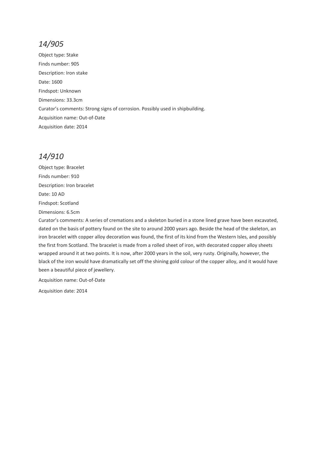Object type: Stake Finds number: 905 Description: Iron stake Date: 1600 Findspot: Unknown Dimensions: 33.3cm Curator's comments: Strong signs of corrosion. Possibly used in shipbuilding. Acquisition name: Out-of-Date Acquisition date: 2014

# *14/910*

Object type: Bracelet Finds number: 910 Description: Iron bracelet Date: 10 AD Findspot: Scotland Dimensions: 6.5cm

Curator's comments: A series of cremations and a skeleton buried in a stone lined grave have been excavated, dated on the basis of pottery found on the site to around 2000 years ago. Beside the head of the skeleton, an iron bracelet with copper alloy decoration was found, the first of its kind from the Western Isles, and possibly the first from Scotland. The bracelet is made from a rolled sheet of iron, with decorated copper alloy sheets wrapped around it at two points. It is now, after 2000 years in the soil, very rusty. Originally, however, the black of the iron would have dramatically set off the shining gold colour of the copper alloy, and it would have been a beautiful piece of jewellery.

Acquisition name: Out-of-Date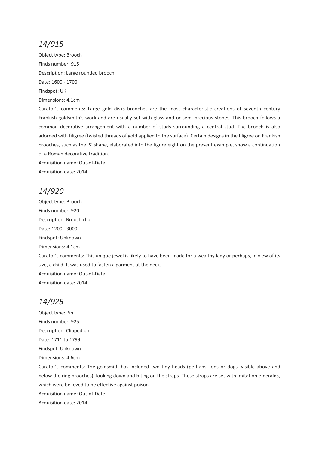Object type: Brooch Finds number: 915 Description: Large rounded brooch Date: 1600 - 1700 Findspot: UK Dimensions: 4.1cm

Curator's comments: Large gold disks brooches are the most characteristic creations of seventh century Frankish goldsmith's work and are usually set with glass and or semi-precious stones. This brooch follows a common decorative arrangement with a number of studs surrounding a central stud. The brooch is also adorned with filigree (twisted threads of gold applied to the surface). Certain designs in the filigree on Frankish brooches, such as the 'S' shape, elaborated into the figure eight on the present example, show a continuation of a Roman decorative tradition.

Acquisition name: Out-of-Date Acquisition date: 2014

# *14/920*

Object type: Brooch Finds number: 920 Description: Brooch clip Date: 1200 - 3000 Findspot: Unknown Dimensions: 4.1cm Curator's comments: This unique jewel is likely to have been made for a wealthy lady or perhaps, in view of its size, a child. It was used to fasten a garment at the neck. Acquisition name: Out-of-Date Acquisition date: 2014

# *14/925*

Object type: Pin Finds number: 925 Description: Clipped pin Date: 1711 to 1799 Findspot: Unknown Dimensions: 4.6cm Curator's comments: The goldsmith has included two tiny heads (perhaps lions or dogs, visible above and below the ring brooches), looking down and biting on the straps. These straps are set with imitation emeralds, which were believed to be effective against poison. Acquisition name: Out-of-Date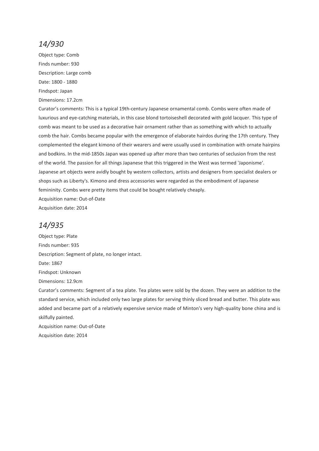Object type: Comb Finds number: 930 Description: Large comb Date: 1800 - 1880 Findspot: Japan

Dimensions: 17.2cm

Curator's comments: This is a typical 19th-century Japanese ornamental comb. Combs were often made of luxurious and eye-catching materials, in this case blond tortoiseshell decorated with gold lacquer. This type of comb was meant to be used as a decorative hair ornament rather than as something with which to actually comb the hair. Combs became popular with the emergence of elaborate hairdos during the 17th century. They complemented the elegant kimono of their wearers and were usually used in combination with ornate hairpins and bodkins. In the mid-1850s Japan was opened up after more than two centuries of seclusion from the rest of the world. The passion for all things Japanese that this triggered in the West was termed 'Japonisme'. Japanese art objects were avidly bought by western collectors, artists and designers from specialist dealers or shops such as Liberty's. Kimono and dress accessories were regarded as the embodiment of Japanese femininity. Combs were pretty items that could be bought relatively cheaply. Acquisition name: Out-of-Date

Acquisition date: 2014

#### *14/935*

Object type: Plate Finds number: 935 Description: Segment of plate, no longer intact. Date: 1867 Findspot: Unknown Dimensions: 12.9cm Curator's comments: Segment of a tea plate. Tea plates were sold by the dozen. They were an addition to the standard service, which included only two large plates for serving thinly sliced bread and butter. This plate was added and became part of a relatively expensive service made of Minton's very high-quality bone china and is skilfully painted. Acquisition name: Out-of-Date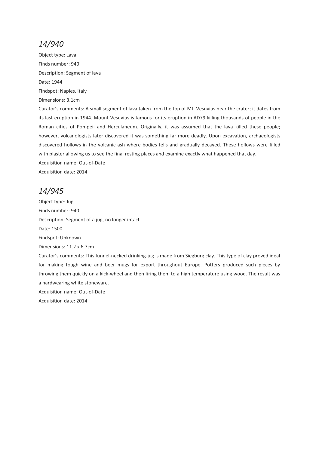Object type: Lava Finds number: 940 Description: Segment of lava Date: 1944 Findspot: Naples, Italy Dimensions: 3.1cm Curator's comments: A small segment of lava taken from the top of Mt. Vesuvius near the crater; it dates from its last eruption in 1944. Mount Vesuvius is famous for its eruption in AD79 killing thousands of people in the Roman cities of Pompeii and Herculaneum. Originally, it was assumed that the lava killed these people; however, volcanologists later discovered it was something far more deadly. Upon excavation, archaeologists discovered hollows in the volcanic ash where bodies fells and gradually decayed. These hollows were filled with plaster allowing us to see the final resting places and examine exactly what happened that day. Acquisition name: Out-of-Date Acquisition date: 2014

# *14/945*

Object type: Jug Finds number: 940 Description: Segment of a jug, no longer intact. Date: 1500 Findspot: Unknown Dimensions: 11.2 x 6.7cm Curator's comments: This funnel-necked drinking-jug is made from Siegburg clay. This type of clay proved ideal for making tough wine and beer mugs for export throughout Europe. Potters produced such pieces by throwing them quickly on a kick-wheel and then firing them to a high temperature using wood. The result was a hardwearing white stoneware. Acquisition name: Out-of-Date Acquisition date: 2014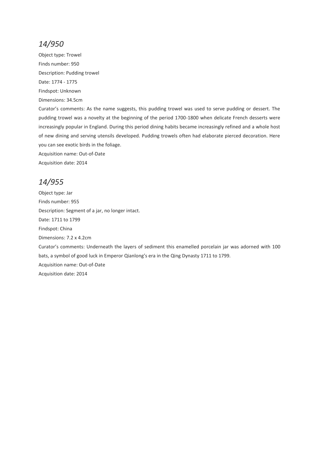Object type: Trowel Finds number: 950 Description: Pudding trowel Date: 1774 - 1775 Findspot: Unknown Dimensions: 34.5cm

Curator's comments: As the name suggests, this pudding trowel was used to serve pudding or dessert. The pudding trowel was a novelty at the beginning of the period 1700-1800 when delicate French desserts were increasingly popular in England. During this period dining habits became increasingly refined and a whole host of new dining and serving utensils developed. Pudding trowels often had elaborate pierced decoration. Here you can see exotic birds in the foliage.

Acquisition name: Out-of-Date Acquisition date: 2014

#### *14/955*

Object type: Jar Finds number: 955 Description: Segment of a jar, no longer intact. Date: 1711 to 1799 Findspot: China Dimensions: 7.2 x 4.2cm Curator's comments: Underneath the layers of sediment this enamelled porcelain jar was adorned with 100 bats, a symbol of good luck in Emperor Qianlong's era in the Qing Dynasty 1711 to 1799. Acquisition name: Out-of-Date Acquisition date: 2014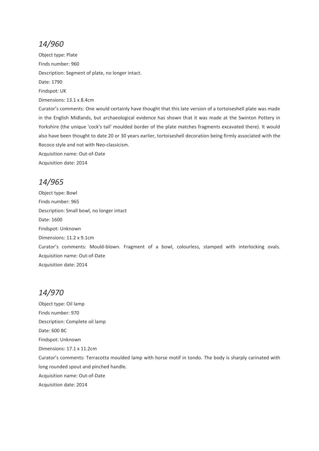Object type: Plate Finds number: 960 Description: Segment of plate, no longer intact. Date: 1790 Findspot: UK Dimensions: 13.1 x 8.4cm Curator's comments: One would certainly have thought that this late version of a tortoiseshell plate was made

in the English Midlands, but archaeological evidence has shown that it was made at the Swinton Pottery in Yorkshire (the unique 'cock's tail' moulded border of the plate matches fragments excavated there). It would also have been thought to date 20 or 30 years earlier, tortoiseshell decoration being firmly associated with the Rococo style and not with Neo-classicism.

Acquisition name: Out-of-Date

Acquisition date: 2014

# *14/965*

Object type: Bowl Finds number: 965 Description: Small bowl, no longer intact Date: 1600 Findspot: Unknown Dimensions: 11.2 x 9.1cm Curator's comments: Mould-blown. Fragment of a bowl, colourless, stamped with interlocking ovals. Acquisition name: Out-of-Date Acquisition date: 2014

# *14/970*

Object type: Oil lamp Finds number: 970 Description: Complete oil lamp Date: 600 BC Findspot: Unknown Dimensions: 17.1 x 11.2cm Curator's comments: Terracotta moulded lamp with horse motif in tondo. The body is sharply carinated with long rounded spout and pinched handle. Acquisition name: Out-of-Date Acquisition date: 2014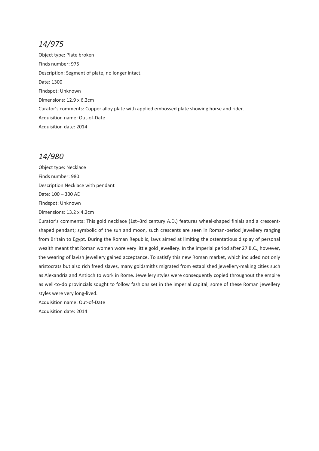Object type: Plate broken Finds number: 975 Description: Segment of plate, no longer intact. Date: 1300 Findspot: Unknown Dimensions: 12.9 x 6.2cm Curator's comments: Copper alloy plate with applied embossed plate showing horse and rider. Acquisition name: Out-of-Date Acquisition date: 2014

# *14/980*

Object type: Necklace Finds number: 980 Description Necklace with pendant Date: 100 – 300 AD Findspot: Unknown Dimensions: 13.2 x 4.2cm

Curator's comments: This gold necklace (1st–3rd century A.D.) features wheel-shaped finials and a crescentshaped pendant; symbolic of the sun and moon, such crescents are seen in Roman-period jewellery ranging from Britain to Egypt. During the Roman Republic, laws aimed at limiting the ostentatious display of personal wealth meant that Roman women wore very little gold jewellery. In the imperial period after 27 B.C., however, the wearing of lavish jewellery gained acceptance. To satisfy this new Roman market, which included not only aristocrats but also rich freed slaves, many goldsmiths migrated from established jewellery-making cities such as Alexandria and Antioch to work in Rome. Jewellery styles were consequently copied throughout the empire as well-to-do provincials sought to follow fashions set in the imperial capital; some of these Roman jewellery styles were very long-lived.

Acquisition name: Out-of-Date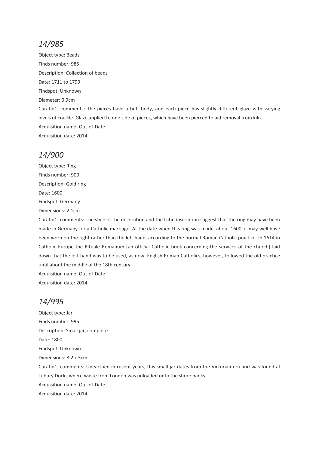Object type: Beads Finds number: 985 Description: Collection of beads Date: 1711 to 1799 Findspot: Unknown Diameter: 0.9cm Curator's comments: The pieces have a buff body, and each piece has slightly different glaze with varying levels of crackle. Glaze applied to one side of pieces, which have been pierced to aid removal from kiln. Acquisition name: Out-of-Date Acquisition date: 2014

#### *14/900*

Object type: Ring Finds number: 900 Description: Gold ring Date: 1600 Findspot: Germany Dimensions: 2.1cm

Curator's comments: The style of the decoration and the Latin inscription suggest that the ring may have been made in Germany for a Catholic marriage. At the date when this ring was made, about 1600, it may well have been worn on the right rather than the left hand, according to the normal Roman Catholic practice. In 1614 in Catholic Europe the Rituale Romanum (an official Catholic book concerning the services of the church) laid down that the left hand was to be used, as now. English Roman Catholics, however, followed the old practice until about the middle of the 18th century.

Acquisition name: Out-of-Date Acquisition date: 2014

# *14/995*

Object type: Jar Finds number: 995 Description: Small jar, complete Date: 1800 Findspot: Unknown Dimensions: 8.2 x 3cm Curator's comments: Unearthed in recent years, this small jar dates from the Victorian era and was found at Tilbury Docks where waste from London was unloaded onto the shore banks. Acquisition name: Out-of-Date Acquisition date: 2014